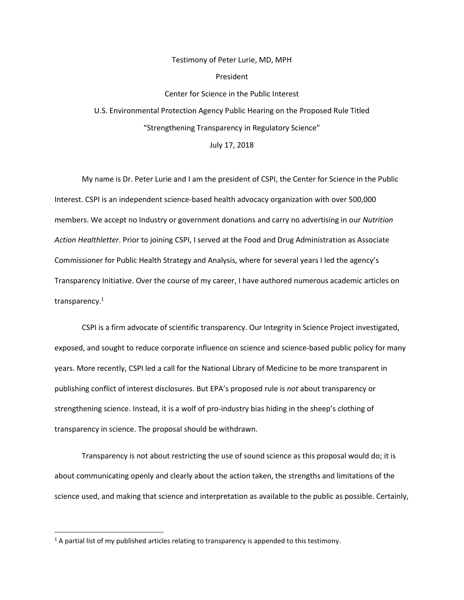## Testimony of Peter Lurie, MD, MPH President Center for Science in the Public Interest U.S. Environmental Protection Agency Public Hearing on the Proposed Rule Titled "Strengthening Transparency in Regulatory Science"

## July 17, 2018

My name is Dr. Peter Lurie and I am the president of CSPI, the Center for Science in the Public Interest. CSPI is an independent science-based health advocacy organization with over 500,000 members. We accept no Industry or government donations and carry no advertising in our *Nutrition Action Healthletter*. Prior to joining CSPI, I served at the Food and Drug Administration as Associate Commissioner for Public Health Strategy and Analysis, where for several years I led the agency's Transparency Initiative. Over the course of my career, I have authored numerous academic articles on transparency.<sup>1</sup>

CSPI is a firm advocate of scientific transparency. Our Integrity in Science Project investigated, exposed, and sought to reduce corporate influence on science and science-based public policy for many years. More recently, CSPI led a call for the National Library of Medicine to be more transparent in publishing conflict of interest disclosures. But EPA's proposed rule is *not* about transparency or strengthening science. Instead, it is a wolf of pro-industry bias hiding in the sheep's clothing of transparency in science. The proposal should be withdrawn.

Transparency is not about restricting the use of sound science as this proposal would do; it is about communicating openly and clearly about the action taken, the strengths and limitations of the science used, and making that science and interpretation as available to the public as possible. Certainly,

<sup>&</sup>lt;sup>1</sup> A partial list of my published articles relating to transparency is appended to this testimony.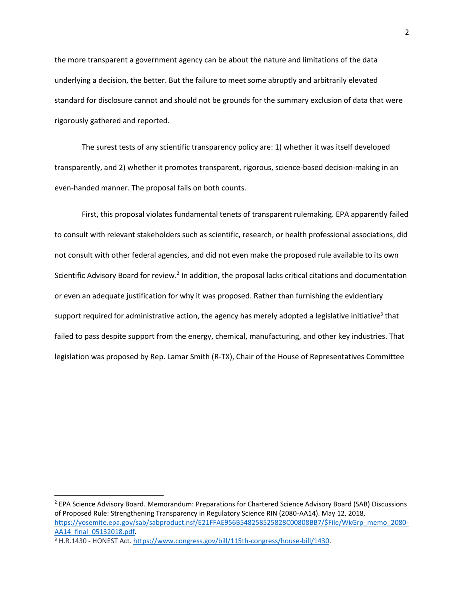the more transparent a government agency can be about the nature and limitations of the data underlying a decision, the better. But the failure to meet some abruptly and arbitrarily elevated standard for disclosure cannot and should not be grounds for the summary exclusion of data that were rigorously gathered and reported.

The surest tests of any scientific transparency policy are: 1) whether it was itself developed transparently, and 2) whether it promotes transparent, rigorous, science-based decision-making in an even-handed manner. The proposal fails on both counts.

First, this proposal violates fundamental tenets of transparent rulemaking. EPA apparently failed to consult with relevant stakeholders such as scientific, research, or health professional associations, did not consult with other federal agencies, and did not even make the proposed rule available to its own Scientific Advisory Board for review.<sup>2</sup> In addition, the proposal lacks critical citations and documentation or even an adequate justification for why it was proposed. Rather than furnishing the evidentiary support required for administrative action, the agency has merely adopted a legislative initiative<sup>3</sup> that failed to pass despite support from the energy, chemical, manufacturing, and other key industries. That legislation was proposed by Rep. Lamar Smith (R-TX), Chair of the House of Representatives Committee

<sup>2</sup> EPA Science Advisory Board. Memorandum: Preparations for Chartered Science Advisory Board (SAB) Discussions of Proposed Rule: Strengthening Transparency in Regulatory Science RIN (2080-AA14). May 12, 2018, [https://yosemite.epa.gov/sab/sabproduct.nsf/E21FFAE956B548258525828C00808BB7/\\$File/WkGrp\\_memo\\_2080-](https://yosemite.epa.gov/sab/sabproduct.nsf/E21FFAE956B548258525828C00808BB7/$File/WkGrp_memo_2080-AA14_final_05132018.pdf) [AA14\\_final\\_05132018.pdf.](https://yosemite.epa.gov/sab/sabproduct.nsf/E21FFAE956B548258525828C00808BB7/$File/WkGrp_memo_2080-AA14_final_05132018.pdf)

<sup>&</sup>lt;sup>3</sup> H.R.1430 - HONEST Act. [https://www.congress.gov/bill/115th-congress/house-bill/1430.](https://www.congress.gov/bill/115th-congress/house-bill/1430)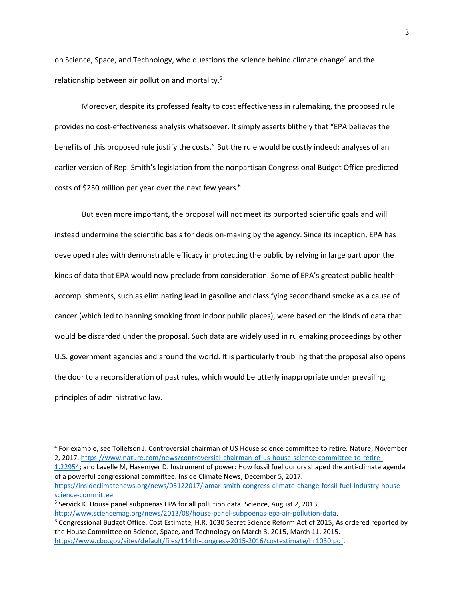on Science, Space, and Technology, who questions the science behind climate change<sup>4</sup> and the relationship between air pollution and mortality.<sup>5</sup>

Moreover, despite its professed fealty to cost effectiveness in rulemaking, the proposed rule provides no cost-effectiveness analysis whatsoever. It simply asserts blithely that "EPA believes the benefits of this proposed rule justify the costs." But the rule would be costly indeed: analyses of an earlier version of Rep. Smith's legislation from the nonpartisan Congressional Budget Office predicted costs of \$250 million per year over the next few years.<sup>6</sup>

But even more important, the proposal will not meet its purported scientific goals and will instead undermine the scientific basis for decision-making by the agency. Since its inception, EPA has developed rules with demonstrable efficacy in protecting the public by relying in large part upon the kinds of data that EPA would now preclude from consideration. Some of EPA's greatest public health accomplishments, such as eliminating lead in gasoline and classifying secondhand smoke as a cause of cancer (which led to banning smoking from indoor public places), were based on the kinds of data that would be discarded under the proposal. Such data are widely used in rulemaking proceedings by other U.S. government agencies and around the world. It is particularly troubling that the proposal also opens the door to a reconsideration of past rules, which would be utterly inappropriate under prevailing principles of administrative law.

<sup>4</sup> For example, see Tollefson J. Controversial chairman of US House science committee to retire. Nature, November 2, 2017. [https://www.nature.com/news/controversial-chairman-of-us-house-science-committee-to-retire-](https://www.nature.com/news/controversial-chairman-of-us-house-science-committee-to-retire-1.22954)

[<sup>1.22954;</sup>](https://www.nature.com/news/controversial-chairman-of-us-house-science-committee-to-retire-1.22954) and Lavelle M, Hasemyer D. Instrument of power: How fossil fuel donors shaped the anti-climate agenda of a powerful congressional committee. Inside Climate News, December 5, 2017.

[https://insideclimatenews.org/news/05122017/lamar-smith-congress-climate-change-fossil-fuel-industry-house](https://insideclimatenews.org/news/05122017/lamar-smith-congress-climate-change-fossil-fuel-industry-house-science-committee)[science-committee.](https://insideclimatenews.org/news/05122017/lamar-smith-congress-climate-change-fossil-fuel-industry-house-science-committee)

<sup>&</sup>lt;sup>5</sup> Servick K. House panel subpoenas EPA for all pollution data. Science, August 2, 2013. [http://www.sciencemag.org/news/2013/08/house-panel-subpoenas-epa-air-pollution-data.](http://www.sciencemag.org/news/2013/08/house-panel-subpoenas-epa-air-pollution-data)

<sup>6</sup> Congressional Budget Office. Cost Estimate, H.R. 1030 Secret Science Reform Act of 2015, As ordered reported by the House Committee on Science, Space, and Technology on March 3, 2015, March 11, 2015. [https://www.cbo.gov/sites/default/files/114th-congress-2015-2016/costestimate/hr1030.pdf.](https://www.cbo.gov/sites/default/files/114th-congress-2015-2016/costestimate/hr1030.pdf)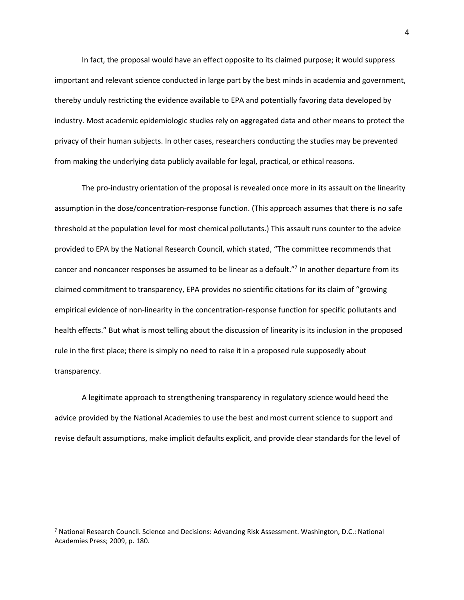In fact, the proposal would have an effect opposite to its claimed purpose; it would suppress important and relevant science conducted in large part by the best minds in academia and government, thereby unduly restricting the evidence available to EPA and potentially favoring data developed by industry. Most academic epidemiologic studies rely on aggregated data and other means to protect the privacy of their human subjects. In other cases, researchers conducting the studies may be prevented from making the underlying data publicly available for legal, practical, or ethical reasons.

The pro-industry orientation of the proposal is revealed once more in its assault on the linearity assumption in the dose/concentration-response function. (This approach assumes that there is no safe threshold at the population level for most chemical pollutants.) This assault runs counter to the advice provided to EPA by the National Research Council, which stated, "The committee recommends that cancer and noncancer responses be assumed to be linear as a default."<sup>7</sup> In another departure from its claimed commitment to transparency, EPA provides no scientific citations for its claim of "growing empirical evidence of non-linearity in the concentration-response function for specific pollutants and health effects." But what is most telling about the discussion of linearity is its inclusion in the proposed rule in the first place; there is simply no need to raise it in a proposed rule supposedly about transparency.

A legitimate approach to strengthening transparency in regulatory science would heed the advice provided by the National Academies to use the best and most current science to support and revise default assumptions, make implicit defaults explicit, and provide clear standards for the level of

<sup>&</sup>lt;sup>7</sup> National Research Council. Science and Decisions: Advancing Risk Assessment. Washington, D.C.: National Academies Press; 2009, p. 180.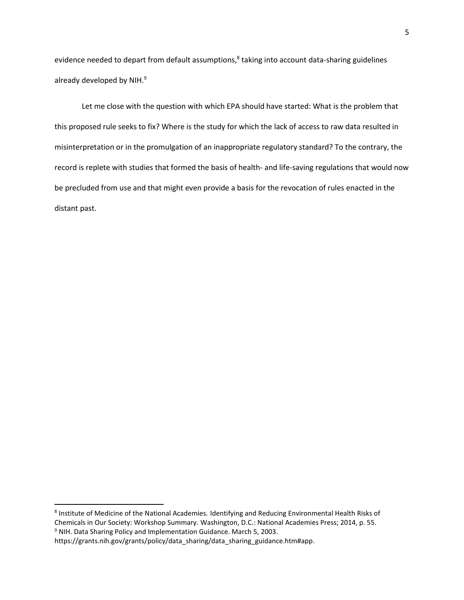evidence needed to depart from default assumptions,<sup>8</sup> taking into account data-sharing guidelines already developed by NIH.<sup>9</sup>

Let me close with the question with which EPA should have started: What is the problem that this proposed rule seeks to fix? Where is the study for which the lack of access to raw data resulted in misinterpretation or in the promulgation of an inappropriate regulatory standard? To the contrary, the record is replete with studies that formed the basis of health- and life-saving regulations that would now be precluded from use and that might even provide a basis for the revocation of rules enacted in the distant past.

l

<sup>&</sup>lt;sup>8</sup> Institute of Medicine of the National Academies. Identifying and Reducing Environmental Health Risks of Chemicals in Our Society: Workshop Summary. Washington, D.C.: National Academies Press; 2014, p. 55. <sup>9</sup> NIH. Data Sharing Policy and Implementation Guidance. March 5, 2003.

https://grants.nih.gov/grants/policy/data\_sharing/data\_sharing\_guidance.htm#app.